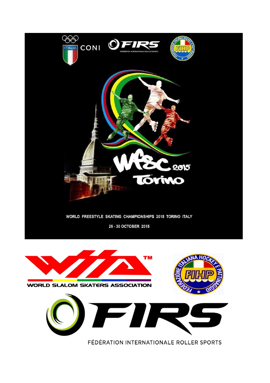



FÉDÉRATION INTERNATIONALE ROLLER SPORTS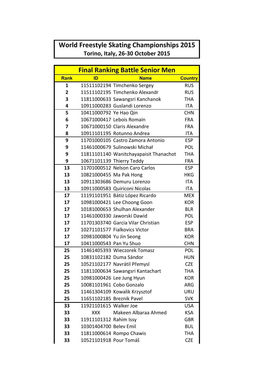## **World Freestyle Skating Championships 2015 Torino, Italy, 26-30 October 2015**

| <b>Final Ranking Battle Senior Men</b> |                           |                                        |                |  |
|----------------------------------------|---------------------------|----------------------------------------|----------------|--|
| <b>Rank</b>                            | ID                        | <b>Name</b>                            | <b>Country</b> |  |
| 1                                      |                           | 11511102194 Timchenko Sergey           | <b>RUS</b>     |  |
| $\overline{2}$                         |                           | 11511102195 Timchenko Alexandr         | <b>RUS</b>     |  |
| 3                                      |                           | 11811000633 Sawangsri Kanchanok        | <b>THA</b>     |  |
| 4                                      |                           | 10911000283 Guslandi Lorenzo           | <b>ITA</b>     |  |
| 5                                      | 10411000792 Ye Hao Qin    |                                        | <b>CHN</b>     |  |
| 6                                      |                           | 10671000417 Lebois Romain              | <b>FRA</b>     |  |
| 7                                      |                           | 10671000150 Claris Alexandre           | <b>FRA</b>     |  |
| 8                                      |                           | 10911101195 Rotunno Andrea             | <b>ITA</b>     |  |
| 9                                      |                           | 11701000105 Castro Zamora Antonio      | <b>ESP</b>     |  |
| 9                                      |                           | 11461000679 Sulinowski Michał          | POL            |  |
| 9                                      |                           | 11811101140 Wanitchayapaisit Thanachot | <b>THA</b>     |  |
| 9                                      |                           | 10671101139 Thierry Teddy              | <b>FRA</b>     |  |
| 13                                     |                           | 11701000512 Nelson Caro Carlos         | <b>ESP</b>     |  |
| 13                                     | 10821000455 Ma Pak Hong   |                                        | <b>HKG</b>     |  |
| 13                                     |                           | 10911303686 Demuru Lorenzo             | <b>ITA</b>     |  |
| 13                                     |                           | 10911000583 Quiriconi Nicolas          | <b>ITA</b>     |  |
| 17                                     |                           | 11191101951 Bátiz López Ricardo        | <b>MEX</b>     |  |
| 17                                     |                           | 10981000421 Lee Choong Goon            | <b>KOR</b>     |  |
| 17                                     |                           | 10181000653 Shulhan Alexander          | <b>BLR</b>     |  |
| 17                                     |                           | 11461000330 Jaworski Dawid             | POL            |  |
| 17                                     |                           | 11701303740 Garcia Vilar Christian     | <b>ESP</b>     |  |
| 17                                     |                           | 10271101577 Fialkovics Victor          | <b>BRA</b>     |  |
| 17                                     | 10981000804 Yu Jin Seong  |                                        | <b>KOR</b>     |  |
| 17                                     | 10411000543 Pan Yu Shuo   |                                        | <b>CHN</b>     |  |
| 25                                     |                           | 11461405393 Wieczorek Tomasz           | POL            |  |
| 25                                     | 10831102182 Duma Sándor   |                                        | <b>HUN</b>     |  |
| 25                                     |                           | 10521102177 Navrátil Přemysl           | <b>CZE</b>     |  |
| 25                                     |                           | 11811000634 Sawangsri Kantachart       | THA            |  |
| 25                                     |                           | 10981000426 Lee Jung Hyun              | <b>KOR</b>     |  |
| 25                                     |                           | 10081101961 Cobo Gonzalo               | <b>ARG</b>     |  |
| 25                                     |                           | 11461304109 Kowalik Krzysztof          | URU            |  |
| 25                                     | 11651102185 Breznik Pavel |                                        | <b>SVK</b>     |  |
| 33                                     | 11921101615 Walker Joe    |                                        | <b>USA</b>     |  |
| 33                                     | XXX.                      | Makeen Albaraa Ahmed                   | <b>KSA</b>     |  |
| 33                                     | 11911101312 Rahim Issy    |                                        | <b>GBR</b>     |  |
| 33                                     | 10301404700 Belev Emil    |                                        | <b>BUL</b>     |  |
| 33                                     |                           | 11811000614 Rompo Chawis               | THA            |  |
| 33<br>10521101918 Pour Tomáš           |                           | <b>CZE</b>                             |                |  |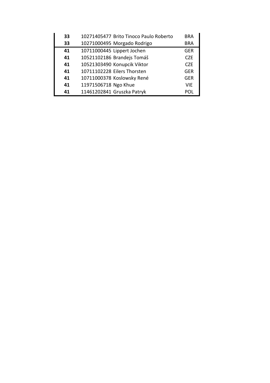| 33 | 10271405477 Brito Tinoco Paulo Roberto | <b>BRA</b> |
|----|----------------------------------------|------------|
| 33 | 10271000495 Morgado Rodrigo            | <b>BRA</b> |
| 41 | 10711000445 Lippert Jochen             | <b>GER</b> |
| 41 | 10521102186 Brandejs Tomáš             | <b>CZE</b> |
| 41 | 10521303490 Konupcik Viktor            | <b>CZF</b> |
| 41 | 10711102228 Eilers Thorsten            | <b>GER</b> |
| 41 | 10711000378 Koslowsky René             | <b>GER</b> |
| 41 | 11971506718 Ngo Khue                   | <b>VIE</b> |
| 41 | 11461202841 Gruszka Patryk             | POL        |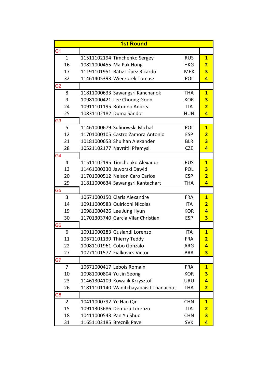|                | <b>1st Round</b>                       |            |                         |
|----------------|----------------------------------------|------------|-------------------------|
| G <sub>1</sub> |                                        |            |                         |
| $\mathbf{1}$   | 11511102194 Timchenko Sergey           | <b>RUS</b> | $\mathbf{1}$            |
| 16             | 10821000455 Ma Pak Hong                | <b>HKG</b> | $\overline{2}$          |
| 17             | 11191101951 Bátiz López Ricardo        | <b>MEX</b> | $\overline{\mathbf{3}}$ |
| 32             | 11461405393 Wieczorek Tomasz           | POL        | 4                       |
| G <sub>2</sub> |                                        |            |                         |
| 8              | 11811000633 Sawangsri Kanchanok        | <b>THA</b> | $\mathbf{1}$            |
| 9              | 10981000421 Lee Choong Goon            | <b>KOR</b> | 3                       |
| 24             | 10911101195 Rotunno Andrea             | <b>ITA</b> | $\overline{2}$          |
| 25             | 10831102182 Duma Sándor                | <b>HUN</b> | 4                       |
| G <sub>3</sub> |                                        |            |                         |
| 5              | 11461000679 Sulinowski Michał          | POL        | $\mathbf{1}$            |
| 12             | 11701000105 Castro Zamora Antonio      | <b>ESP</b> | $\overline{\mathbf{2}}$ |
| 21             | 10181000653 Shulhan Alexander          | <b>BLR</b> | $\overline{\mathbf{3}}$ |
| 28             | 10521102177 Navrátil Přemysl           | <b>CZE</b> | 4                       |
| G4             |                                        |            |                         |
| 4              | 11511102195 Timchenko Alexandr         | <b>RUS</b> | $\mathbf{1}$            |
| 13             | 11461000330 Jaworski Dawid             | <b>POL</b> | 3                       |
| 20             | 11701000512 Nelson Caro Carlos         | <b>ESP</b> | $\overline{2}$          |
| 29             | 11811000634 Sawangsri Kantachart       | THA        | 4                       |
| G <sub>5</sub> |                                        |            |                         |
| 3              | 10671000150 Claris Alexandre           | <b>FRA</b> | $\mathbf{1}$            |
| 14             | 10911000583 Quiriconi Nicolas          | <b>ITA</b> | $\overline{2}$          |
| 19             | 10981000426 Lee Jung Hyun              | <b>KOR</b> | 4                       |
| 30             | 11701303740 Garcia Vilar Christian     | <b>ESP</b> | $\overline{\mathbf{3}}$ |
| G <sub>6</sub> |                                        |            |                         |
| 6              | 10911000283 Guslandi Lorenzo           | <b>ITA</b> | $\mathbf{1}$            |
| 11             | 10671101139 Thierry Teddy              | <b>FRA</b> | $\overline{2}$          |
| 22             | 10081101961 Cobo Gonzalo               | <b>ARG</b> | 4                       |
| 27             | 10271101577 Fialkovics Victor          | <b>BRA</b> | 3                       |
| G7             |                                        |            |                         |
| $\overline{7}$ | 10671000417 Lebois Romain              | <b>FRA</b> | $\mathbf{1}$            |
| 10             | 10981000804 Yu Jin Seong               | <b>KOR</b> | $\overline{\mathbf{3}}$ |
| 23             | 11461304109 Kowalik Krzysztof          | URU        | 4                       |
| 26             | 11811101140 Wanitchayapaisit Thanachot | THA        | $\overline{2}$          |
| G8             |                                        |            |                         |
| $\overline{2}$ | 10411000792 Ye Hao Qin                 | <b>CHN</b> | $\mathbf{1}$            |
| 15             | 10911303686 Demuru Lorenzo             | ITA        | $\overline{\mathbf{2}}$ |
| 18             | 10411000543 Pan Yu Shuo                | <b>CHN</b> | $\overline{\mathbf{3}}$ |
| 31             | 11651102185 Breznik Pavel              | <b>SVK</b> | 4                       |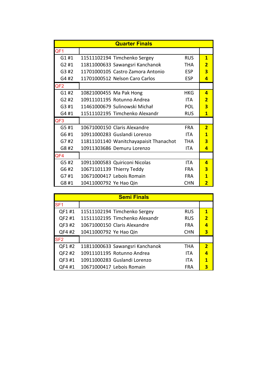| <b>Quarter Finals</b> |                                        |            |                         |
|-----------------------|----------------------------------------|------------|-------------------------|
| QF <sub>1</sub>       |                                        |            |                         |
| G1#1                  | 11511102194 Timchenko Sergey           | <b>RUS</b> | $\mathbf{1}$            |
| G2#1                  | 11811000633 Sawangsri Kanchanok        | <b>THA</b> | $\overline{2}$          |
| G3#2                  | 11701000105 Castro Zamora Antonio      | <b>ESP</b> | 3                       |
| G4 #2                 | 11701000512 Nelson Caro Carlos         | <b>ESP</b> | 4                       |
| QF <sub>2</sub>       |                                        |            |                         |
| G1#2                  | 10821000455 Ma Pak Hong                | <b>HKG</b> | 4                       |
| G2#2                  | 10911101195 Rotunno Andrea             | <b>ITA</b> | $\overline{2}$          |
| G3 #1                 | 11461000679 Sulinowski Michał          | POL        | 3                       |
| G4#1                  | 11511102195 Timchenko Alexandr         | <b>RUS</b> | 1                       |
| QF <sub>3</sub>       |                                        |            |                         |
| G5#1                  | 10671000150 Claris Alexandre           | <b>FRA</b> | $\overline{2}$          |
| G6 #1                 | 10911000283 Guslandi Lorenzo           | <b>ITA</b> | $\mathbf{1}$            |
| G7#2                  | 11811101140 Wanitchayapaisit Thanachot | THA        | 3                       |
| G8 #2                 | 10911303686 Demuru Lorenzo             | <b>ITA</b> | $\overline{\mathbf{a}}$ |
| QF4                   |                                        |            |                         |
| G5#2                  | 10911000583 Quiriconi Nicolas          | <b>ITA</b> | 4                       |
| G6 #2                 | 10671101139 Thierry Teddy              | <b>FRA</b> | 3                       |
| G7#1                  | 10671000417 Lebois Romain              | <b>FRA</b> | 1                       |
| G8 #1                 | 10411000792 Ye Hao Qin                 | <b>CHN</b> | 2                       |

| <b>Semi Finals</b> |                                 |            |                         |
|--------------------|---------------------------------|------------|-------------------------|
| SF <sub>1</sub>    |                                 |            |                         |
| QF1#1              | 11511102194 Timchenko Sergey    | <b>RUS</b> | $\mathbf{1}$            |
| QF2 #1             | 11511102195 Timchenko Alexandr  | <b>RUS</b> | $\overline{\mathbf{z}}$ |
| QF3 #2             | 10671000150 Claris Alexandre    | <b>FRA</b> |                         |
| QF4 #2             | 10411000792 Ye Hao Qin          | <b>CHN</b> | 3                       |
| SF <sub>2</sub>    |                                 |            |                         |
| QF1#2              | 11811000633 Sawangsri Kanchanok | THA        | $\overline{\mathbf{2}}$ |
| QF2 #2             | 10911101195 Rotunno Andrea      | <b>ITA</b> |                         |
| QF3 #1             | 10911000283 Guslandi Lorenzo    | <b>ITA</b> | 1                       |
| QF4 #1             | 10671000417 Lebois Romain       | FRA        |                         |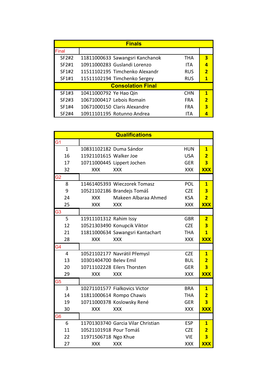| <b>Finals</b>            |                                 |            |                         |
|--------------------------|---------------------------------|------------|-------------------------|
| Final                    |                                 |            |                         |
| SF2#2                    | 11811000633 Sawangsri Kanchanok | THA        | 3                       |
| SF2#1                    | 10911000283 Guslandi Lorenzo    | <b>ITA</b> | 4                       |
| SF1#2                    | 11511102195 Timchenko Alexandr  | <b>RUS</b> | $\overline{\mathbf{z}}$ |
| SF1#1                    | 11511102194 Timchenko Sergey    | <b>RUS</b> |                         |
| <b>Consolation Final</b> |                                 |            |                         |
| SF1#3                    | 10411000792 Ye Hao Qin          | <b>CHN</b> | 1                       |
| SF2#3                    | 10671000417 Lebois Romain       | <b>FRA</b> | $\overline{\mathbf{2}}$ |
| SF1#4                    | 10671000150 Claris Alexandre    | <b>FRA</b> | 3                       |
| SF2#4                    | 10911101195 Rotunno Andrea      | ITA        |                         |

| <b>Qualifications</b> |                        |                                    |            |                         |
|-----------------------|------------------------|------------------------------------|------------|-------------------------|
| G1                    |                        |                                    |            |                         |
| $\mathbf{1}$          |                        | 10831102182 Duma Sándor            | <b>HUN</b> | $\overline{\mathbf{1}}$ |
| 16                    | 11921101615 Walker Joe |                                    | <b>USA</b> | $\overline{2}$          |
| 17                    |                        | 10711000445 Lippert Jochen         | <b>GER</b> | $\overline{\mathbf{3}}$ |
| 32                    | <b>XXX</b>             | <b>XXX</b>                         | <b>XXX</b> | <b>XXX</b>              |
| G2                    |                        |                                    |            |                         |
| 8                     |                        | 11461405393 Wieczorek Tomasz       | POL        | $\overline{\mathbf{1}}$ |
| 9                     |                        | 10521102186 Brandejs Tomáš         | <b>CZE</b> | $\overline{\mathbf{3}}$ |
| 24                    | <b>XXX</b>             | Makeen Albaraa Ahmed               | <b>KSA</b> | $\overline{2}$          |
| 25                    | <b>XXX</b>             | <b>XXX</b>                         | <b>XXX</b> | <b>XXX</b>              |
| G3                    |                        |                                    |            |                         |
| 5                     | 11911101312 Rahim Issy |                                    | <b>GBR</b> | $\overline{2}$          |
| 12                    |                        | 10521303490 Konupcik Viktor        | <b>CZE</b> | $\overline{\mathbf{3}}$ |
| 21                    |                        | 11811000634 Sawangsri Kantachart   | <b>THA</b> | $\overline{1}$          |
| 28                    | <b>XXX</b>             | <b>XXX</b>                         | <b>XXX</b> | <b>XXX</b>              |
| G4                    |                        |                                    |            |                         |
| $\overline{4}$        |                        | 10521102177 Navrátil Přemysl       | <b>CZE</b> | $\overline{\mathbf{1}}$ |
| 13                    | 10301404700 Belev Emil |                                    | <b>BUL</b> | $\overline{2}$          |
| 20                    |                        | 10711102228 Eilers Thorsten        | <b>GER</b> | $\overline{\mathbf{3}}$ |
| 29                    | <b>XXX</b>             | <b>XXX</b>                         | <b>XXX</b> | <b>XXX</b>              |
| G5                    |                        |                                    |            |                         |
| 3                     |                        | 10271101577 Fialkovics Victor      | <b>BRA</b> | $\mathbf{1}$            |
| 14                    |                        | 11811000614 Rompo Chawis           | <b>THA</b> | $\overline{2}$          |
| 19                    |                        | 10711000378 Koslowsky René         | <b>GER</b> | $\overline{\mathbf{3}}$ |
| 30                    | <b>XXX</b>             | <b>XXX</b>                         | <b>XXX</b> | <b>XXX</b>              |
| G6                    |                        |                                    |            |                         |
| 6                     |                        | 11701303740 Garcia Vilar Christian | <b>ESP</b> | $\mathbf{1}$            |
| 11                    | 10521101918 Pour Tomáš |                                    | <b>CZE</b> | $\overline{2}$          |
| 22                    | 11971506718 Ngo Khue   |                                    | <b>VIE</b> | $\overline{\mathbf{3}}$ |
| 27                    | <b>XXX</b>             | <b>XXX</b>                         | <b>XXX</b> | <b>XXX</b>              |